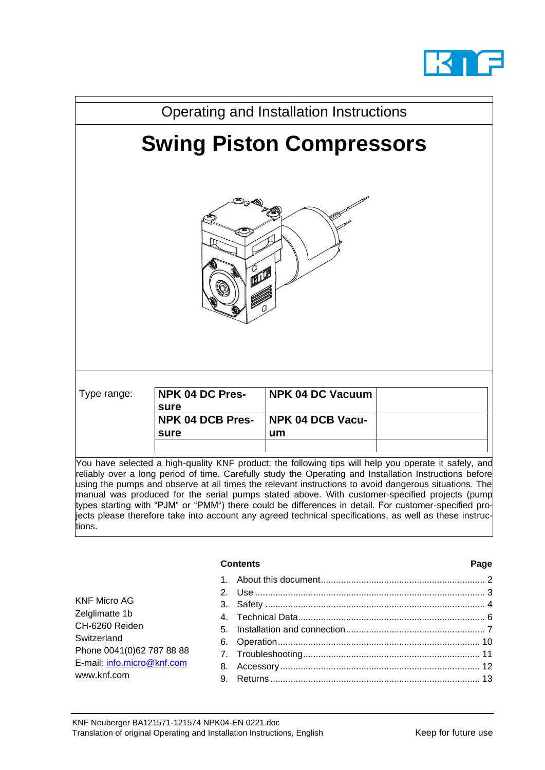



|                                                                                                                                           | <b>Contents</b>     | Page |
|-------------------------------------------------------------------------------------------------------------------------------------------|---------------------|------|
| KNF Micro AG<br>Zelglimatte 1b<br>CH-6260 Reiden<br>Switzerland<br>Phone 0041(0)62 787 88 88<br>E-mail: info.micro@knf.com<br>www.knf.com | 2<br>3.<br>8.<br>9. |      |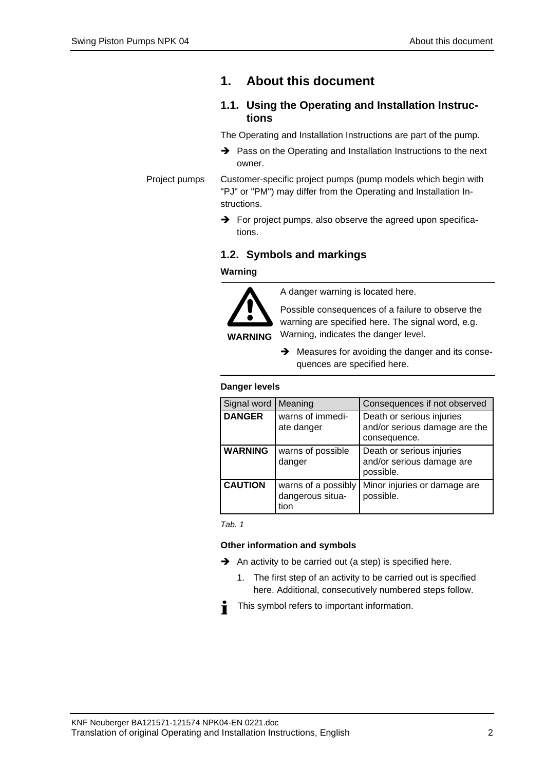## <span id="page-1-0"></span>**1. About this document**

### **1.1. Using the Operating and Installation Instructions**

The Operating and Installation Instructions are part of the pump.

- ➔ Pass on the Operating and Installation Instructions to the next owner.
- Customer-specific project pumps (pump models which begin with "PJ" or "PM") may differ from the Operating and Installation Instructions. Project pumps
	- **→** For project pumps, also observe the agreed upon specifications.

### **1.2. Symbols and markings**

#### **Warning**



A danger warning is located here.

Possible consequences of a failure to observe the warning are specified here. The signal word, e.g. Warning, indicates the danger level.

➔ Measures for avoiding the danger and its consequences are specified here.

#### **Danger levels**

| Signal word    | Meaning                                         | Consequences if not observed                                               |
|----------------|-------------------------------------------------|----------------------------------------------------------------------------|
| <b>DANGER</b>  | warns of immedi-<br>ate danger                  | Death or serious injuries<br>and/or serious damage are the<br>consequence. |
| <b>WARNING</b> | warns of possible<br>danger                     | Death or serious injuries<br>and/or serious damage are<br>possible.        |
| <b>CAUTION</b> | warns of a possibly<br>dangerous situa-<br>tion | Minor injuries or damage are<br>possible.                                  |

*Tab. 1*

#### **Other information and symbols**

- ➔ An activity to be carried out (a step) is specified here.
	- 1. The first step of an activity to be carried out is specified here. Additional, consecutively numbered steps follow.
- This symbol refers to important information. Ť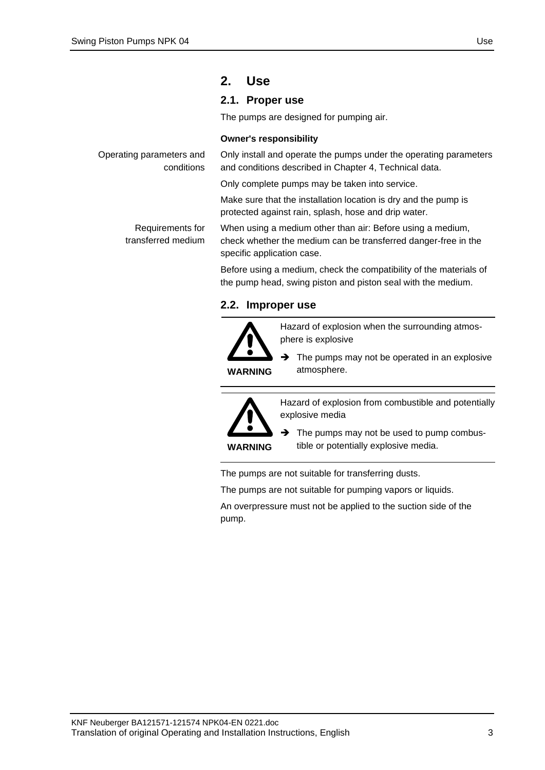conditions

Requirements for transferred medium

## <span id="page-2-0"></span>**2. Use**

## **2.1. Proper use**

The pumps are designed for pumping air.

#### **Owner's responsibility**

Only install and operate the pumps under the operating parameters and conditions described in Chapter [4,](#page-5-0) Technical data. Operating parameters and

Only complete pumps may be taken into service.

Make sure that the installation location is dry and the pump is protected against rain, splash, hose and drip water.

When using a medium other than air: Before using a medium, check whether the medium can be transferred danger-free in the specific application case.

Before using a medium, check the compatibility of the materials of the pump head, swing piston and piston seal with the medium.

### **2.2. Improper use**



Hazard of explosion when the surrounding atmosphere is explosive

 $\rightarrow$  The pumps may not be operated in an explosive atmosphere.

**WARNING**

Hazard of explosion from combustible and potentially explosive media

 $\rightarrow$  The pumps may not be used to pump combustible or potentially explosive media.

The pumps are not suitable for transferring dusts.

The pumps are not suitable for pumping vapors or liquids.

An overpressure must not be applied to the suction side of the pump.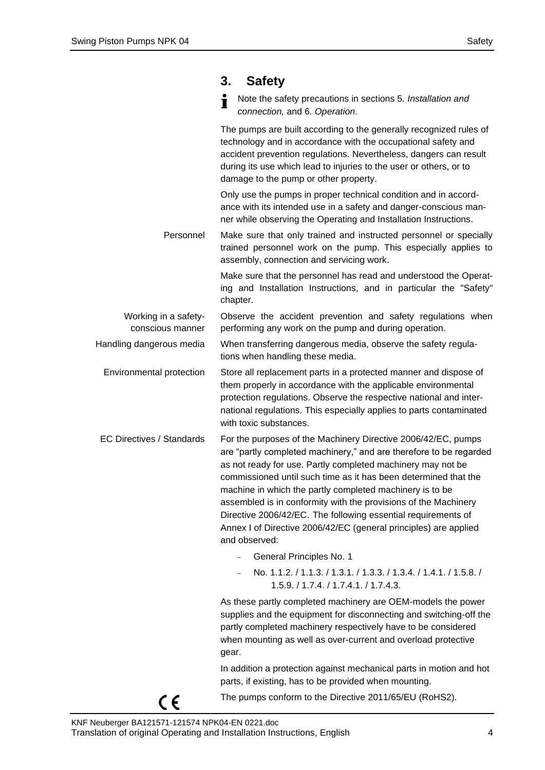## <span id="page-3-0"></span>**3. Safety**

Note the safety precautions in sections 5*. Installation and connection,* and 6*. Operation*.

The pumps are built according to the generally recognized rules of technology and in accordance with the occupational safety and accident prevention regulations. Nevertheless, dangers can result during its use which lead to injuries to the user or others, or to damage to the pump or other property.

Only use the pumps in proper technical condition and in accordance with its intended use in a safety and danger-conscious manner while observing the Operating and Installation Instructions.

Make sure that only trained and instructed personnel or specially trained personnel work on the pump. This especially applies to assembly, connection and servicing work. Personnel

> Make sure that the personnel has read and understood the Operating and Installation Instructions, and in particular the "Safety" chapter.

Observe the accident prevention and safety regulations when performing any work on the pump and during operation. Working in a safetyconscious manner

When transferring dangerous media, observe the safety regulations when handling these media. Handling dangerous media

- Store all replacement parts in a protected manner and dispose of them properly in accordance with the applicable environmental protection regulations. Observe the respective national and international regulations. This especially applies to parts contaminated with toxic substances. Environmental protection
- For the purposes of the Machinery Directive 2006/42/EC, pumps are "partly completed machinery," and are therefore to be regarded as not ready for use. Partly completed machinery may not be commissioned until such time as it has been determined that the machine in which the partly completed machinery is to be assembled is in conformity with the provisions of the Machinery Directive 2006/42/EC. The following essential requirements of Annex I of Directive 2006/42/EC (general principles) are applied and observed: EC Directives / Standards
	- − General Principles No. 1
	- − No. 1.1.2. / 1.1.3. / 1.3.1. / 1.3.3. / 1.3.4. / 1.4.1. / 1.5.8. / 1.5.9. / 1.7.4. / 1.7.4.1. / 1.7.4.3.

As these partly completed machinery are OEM-models the power supplies and the equipment for disconnecting and switching-off the partly completed machinery respectively have to be considered when mounting as well as over-current and overload protective gear.

In addition a protection against mechanical parts in motion and hot parts, if existing, has to be provided when mounting.



 $\epsilon$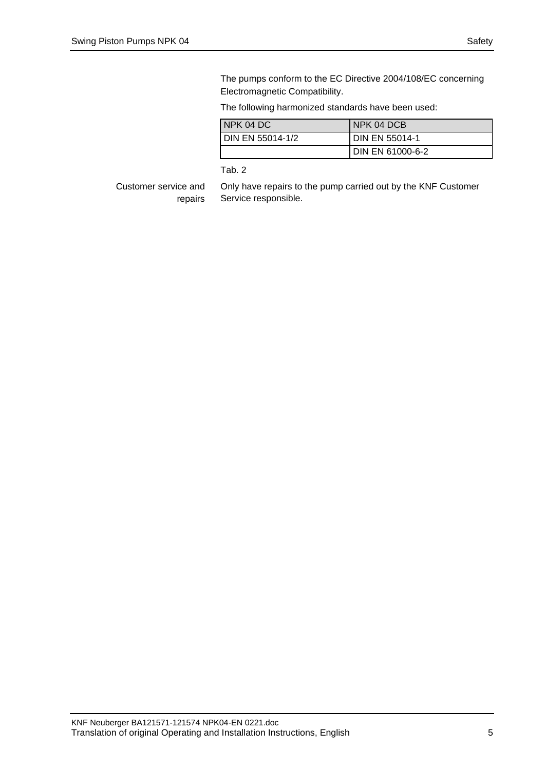The pumps conform to the EC Directive 2004/108/EC concerning Electromagnetic Compatibility.

The following harmonized standards have been used:

| INPK 04 DC               | INPK 04 DCB           |
|--------------------------|-----------------------|
| <b>IDIN EN 55014-1/2</b> | <b>DIN EN 55014-1</b> |
|                          | I DIN EN 61000-6-2    |

Tab. 2

Customer service and repairs Only have repairs to the pump carried out by the KNF Customer Service responsible.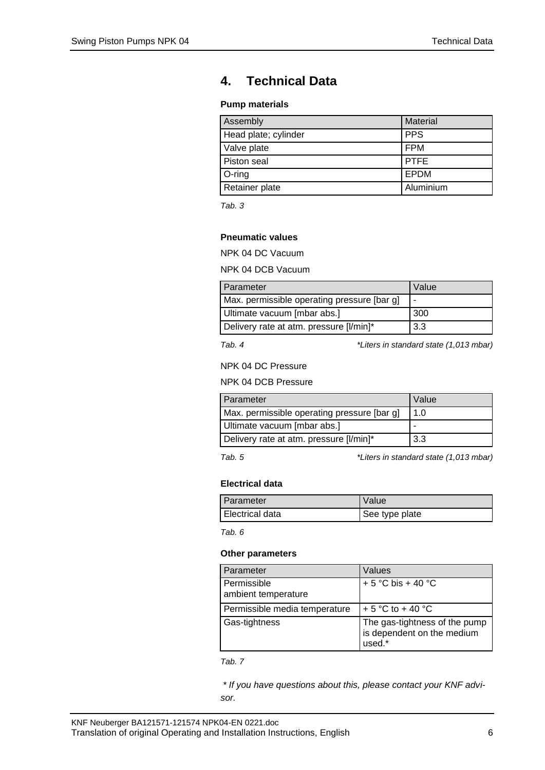# <span id="page-5-0"></span>**4. Technical Data**

#### **Pump materials**

| Assembly             | <b>Material</b> |
|----------------------|-----------------|
| Head plate; cylinder | <b>PPS</b>      |
| Valve plate          | <b>FPM</b>      |
| Piston seal          | <b>PTFE</b>     |
| $O$ -ring            | EPDM            |
| Retainer plate       | Aluminium       |

*Tab. 3*

### **Pneumatic values**

NPK 04 DC Vacuum

NPK 04 DCB Vacuum

| Parameter                                   | Value |
|---------------------------------------------|-------|
| Max. permissible operating pressure [bar g] |       |
| Ultimate vacuum [mbar abs.]                 | 300   |
| Delivery rate at atm. pressure [I/min]*     | 3.3   |

*Tab. 4 \*Liters in standard state (1,013 mbar)*

NPK 04 DC Pressure

NPK 04 DCB Pressure

| Parameter                                   | Value |
|---------------------------------------------|-------|
| Max. permissible operating pressure [bar g] | 11.0  |
| Ultimate vacuum [mbar abs.]                 |       |
| Delivery rate at atm. pressure [I/min]*     | 3.3   |

*Tab. 5 \*Liters in standard state (1,013 mbar)*

#### **Electrical data**

| I Parameter       | Value          |
|-------------------|----------------|
| I Electrical data | See type plate |

*Tab. 6*

#### **Other parameters**

| Parameter                          | Values                                                                |
|------------------------------------|-----------------------------------------------------------------------|
| Permissible<br>ambient temperature | + 5 °C bis + 40 °C                                                    |
| Permissible media temperature      | + 5 °C to + 40 °C                                                     |
| Gas-tightness                      | The gas-tightness of the pump<br>is dependent on the medium<br>used.* |

*Tab. 7*

*\* If you have questions about this, please contact your KNF advisor.*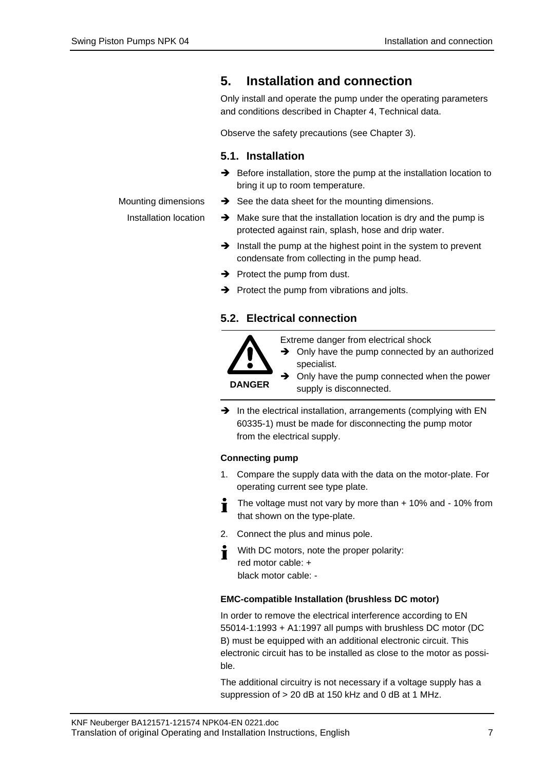Mounting dimensions Installation location

## <span id="page-6-0"></span>**5. Installation and connection**

Only install and operate the pump under the operating parameters and conditions described in Chapter [4,](#page-5-0) Technical data.

Observe the safety precautions (see Chapter [3\)](#page-3-0).

### **5.1. Installation**

- ➔ Before installation, store the pump at the installation location to bring it up to room temperature.
- $\rightarrow$  See the data sheet for the mounting dimensions.
- $\rightarrow$  Make sure that the installation location is dry and the pump is protected against rain, splash, hose and drip water.
- ➔ Install the pump at the highest point in the system to prevent condensate from collecting in the pump head.
- $\rightarrow$  Protect the pump from dust.
- ➔ Protect the pump from vibrations and jolts.

#### **5.2. Electrical connection**



Extreme danger from electrical shock

**→** Only have the pump connected by an authorized specialist.

➔ Only have the pump connected when the power supply is disconnected.

→ In the electrical installation, arrangements (complying with EN 60335-1) must be made for disconnecting the pump motor from the electrical supply.

#### **Connecting pump**

- 1. Compare the supply data with the data on the motor-plate. For operating current see type plate.
- The voltage must not vary by more than + 10% and 10% from  $\blacksquare$ that shown on the type-plate.
- 2. Connect the plus and minus pole.
- With DC motors, note the proper polarity: Т red motor cable: + black motor cable: -

#### **EMC-compatible Installation (brushless DC motor)**

In order to remove the electrical interference according to EN 55014-1:1993 + A1:1997 all pumps with brushless DC motor (DC B) must be equipped with an additional electronic circuit. This electronic circuit has to be installed as close to the motor as possible.

The additional circuitry is not necessary if a voltage supply has a suppression of > 20 dB at 150 kHz and 0 dB at 1 MHz.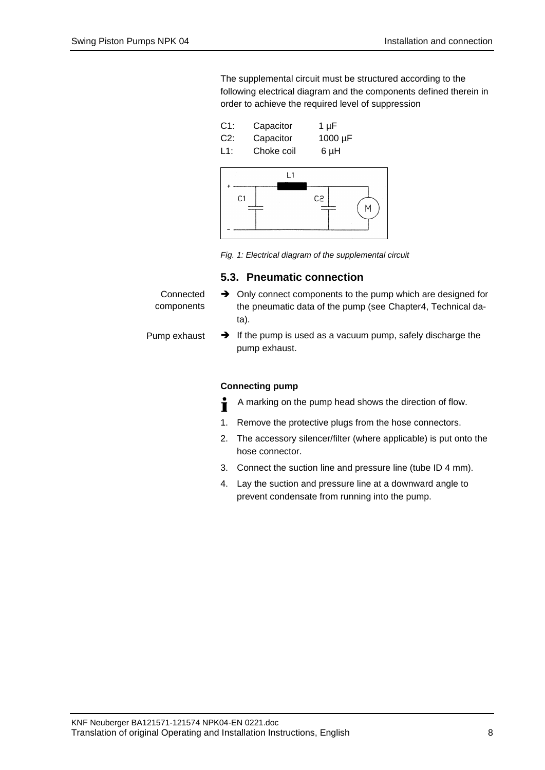The supplemental circuit must be structured according to the following electrical diagram and the components defined therein in order to achieve the required level of suppression



*Fig. 1: Electrical diagram of the supplemental circuit*

#### **5.3. Pneumatic connection**

| Connected<br>components | $\rightarrow$ Only connect components to the pump which are designed for<br>the pneumatic data of the pump (see Chapter4, Technical da-<br>ta). |
|-------------------------|-------------------------------------------------------------------------------------------------------------------------------------------------|
| Pump exhaust            | $\rightarrow$ If the pump is used as a vacuum pump, safely discharge the<br>pump exhaust.                                                       |

#### **Connecting pump**

- A marking on the pump head shows the direction of flow. Ť
- 1. Remove the protective plugs from the hose connectors.
- 2. The accessory silencer/filter (where applicable) is put onto the hose connector.
- 3. Connect the suction line and pressure line (tube ID 4 mm).
- 4. Lay the suction and pressure line at a downward angle to prevent condensate from running into the pump.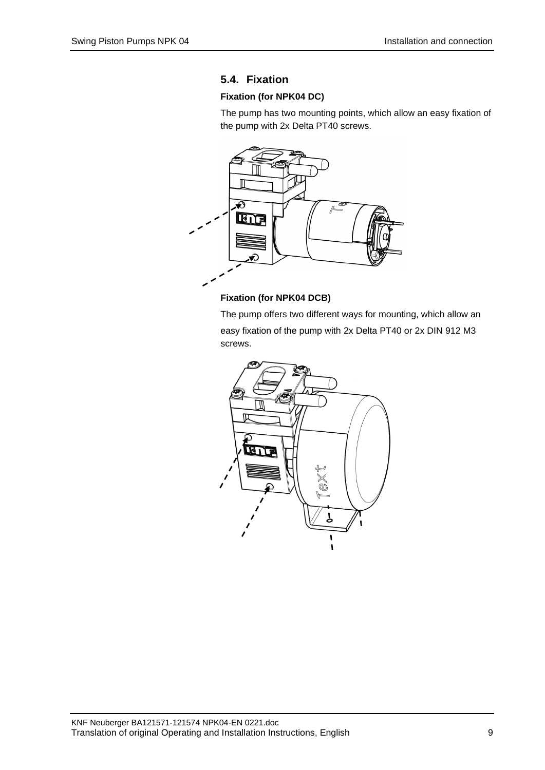### **5.4. Fixation**

### **Fixation (for NPK04 DC)**

The pump has two mounting points, which allow an easy fixation of the pump with 2x Delta PT40 screws.



#### **Fixation (for NPK04 DCB)**

The pump offers two different ways for mounting, which allow an easy fixation of the pump with 2x Delta PT40 or 2x DIN 912 M3 screws.

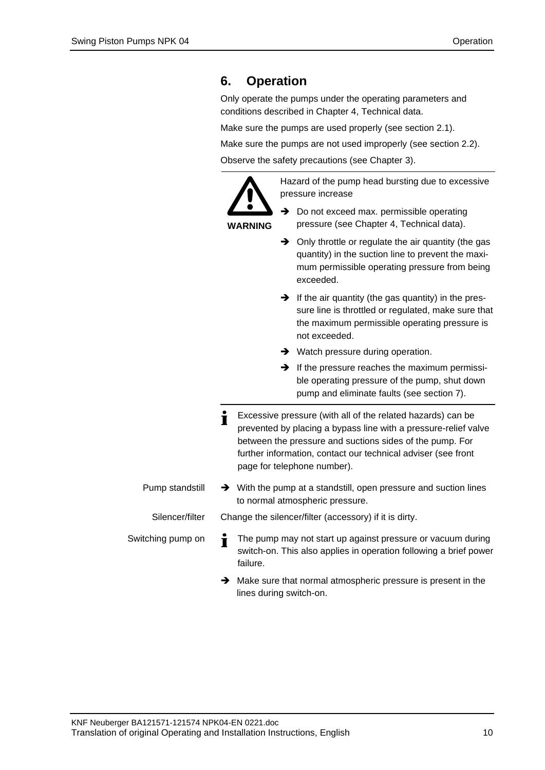# <span id="page-9-0"></span>**6. Operation**

Only operate the pumps under the operating parameters and conditions described in Chapter [4,](#page-5-0) Technical data.

Make sure the pumps are used properly (see section 2.1).

Make sure the pumps are not used improperly (see section 2.2).

Observe the safety precautions (see Chapter [3\)](#page-3-0).



**WARNING**

Hazard of the pump head bursting due to excessive pressure increase

- **→** Do not exceed max. permissible operating pressure (see Chapter 4, Technical data).
- ➔ Only throttle or regulate the air quantity (the gas quantity) in the suction line to prevent the maximum permissible operating pressure from being exceeded.
- $\rightarrow$  If the air quantity (the gas quantity) in the pressure line is throttled or regulated, make sure that the maximum permissible operating pressure is not exceeded.
- **→** Watch pressure during operation.
- $\rightarrow$  If the pressure reaches the maximum permissible operating pressure of the pump, shut down pump and eliminate faults (see section 7).
- Excessive pressure (with all of the related hazards) can be Ť prevented by placing a bypass line with a pressure-relief valve between the pressure and suctions sides of the pump. For further information, contact our technical adviser (see front page for telephone number).
- ➔ With the pump at a standstill, open pressure and suction lines to normal atmospheric pressure. Pump standstill Silencer/filter

Change the silencer/filter (accessory) if it is dirty.

The pump may not start up against pressure or vacuum during Т switch-on. This also applies in operation following a brief power failure.

➔ Make sure that normal atmospheric pressure is present in the lines during switch-on.

Switching pump on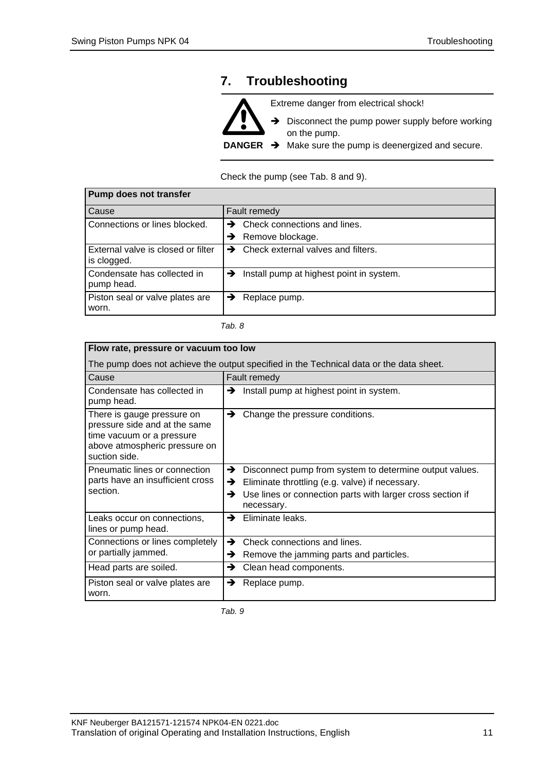# <span id="page-10-0"></span>**7. Troubleshooting**



Check the pump (see Tab. 8 and 9).

| <b>Pump does not transfer</b>                     |                                                        |  |
|---------------------------------------------------|--------------------------------------------------------|--|
| Cause                                             | Fault remedy                                           |  |
| Connections or lines blocked.                     | Check connections and lines.<br>→                      |  |
|                                                   | Remove blockage.<br>→                                  |  |
| External valve is closed or filter<br>is clogged. | Check external valves and filters.                     |  |
| Condensate has collected in<br>pump head.         | $\rightarrow$ Install pump at highest point in system. |  |
| Piston seal or valve plates are<br>worn.          | Replace pump.<br>→                                     |  |

| .<br>×<br>۰. |  |  |
|--------------|--|--|
|--------------|--|--|

| Flow rate, pressure or vacuum too low                                                                                                      |                                                                                                                                                                                                       |  |
|--------------------------------------------------------------------------------------------------------------------------------------------|-------------------------------------------------------------------------------------------------------------------------------------------------------------------------------------------------------|--|
| The pump does not achieve the output specified in the Technical data or the data sheet.                                                    |                                                                                                                                                                                                       |  |
| Cause                                                                                                                                      | Fault remedy                                                                                                                                                                                          |  |
| Condensate has collected in<br>pump head.                                                                                                  | Install pump at highest point in system.<br>→                                                                                                                                                         |  |
| There is gauge pressure on<br>pressure side and at the same<br>time vacuum or a pressure<br>above atmospheric pressure on<br>suction side. | →<br>Change the pressure conditions.                                                                                                                                                                  |  |
| Pneumatic lines or connection<br>parts have an insufficient cross<br>section.                                                              | Disconnect pump from system to determine output values.<br>→<br>Eliminate throttling (e.g. valve) if necessary.<br>→<br>Use lines or connection parts with larger cross section if<br>→<br>necessary. |  |
| Leaks occur on connections,<br>lines or pump head.                                                                                         | Eliminate leaks.<br>→                                                                                                                                                                                 |  |
| Connections or lines completely<br>or partially jammed.                                                                                    | Check connections and lines.<br>→<br>Remove the jamming parts and particles.<br>→                                                                                                                     |  |
| Head parts are soiled.                                                                                                                     | Clean head components.<br>→                                                                                                                                                                           |  |
| Piston seal or valve plates are<br>worn.                                                                                                   | →<br>Replace pump.                                                                                                                                                                                    |  |

*Tab. 9*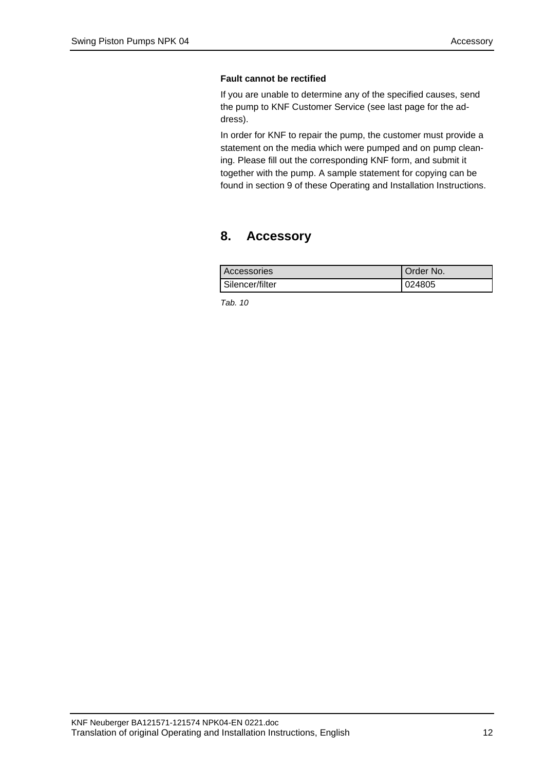#### **Fault cannot be rectified**

If you are unable to determine any of the specified causes, send the pump to KNF Customer Service (see last page for the address).

In order for KNF to repair the pump, the customer must provide a statement on the media which were pumped and on pump cleaning. Please fill out the corresponding KNF form, and submit it together with the pump. A sample statement for copying can be found in section [9](#page-12-0) of these Operating and Installation Instructions.

## <span id="page-11-0"></span>**8. Accessory**

| <b>Accessories</b> | <b>I</b> Order No. |
|--------------------|--------------------|
| Silencer/filter    | 024805             |

*Tab. 10*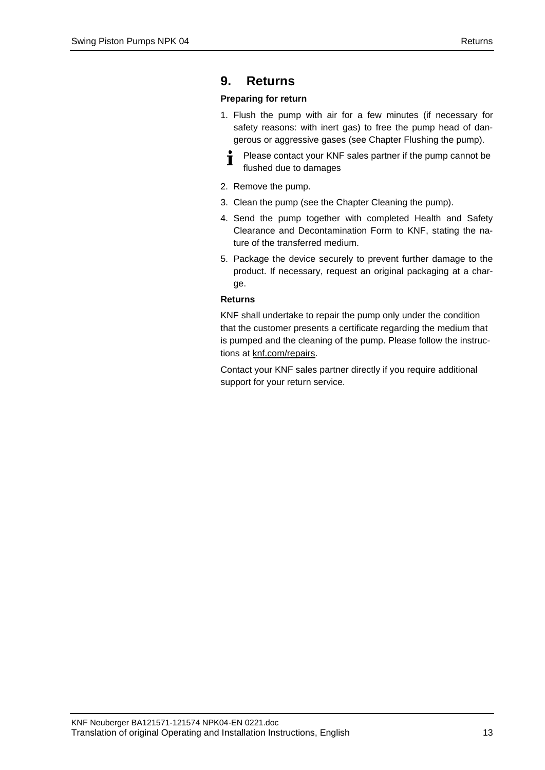## <span id="page-12-0"></span>**9. Returns**

#### **Preparing for return**

- 1. Flush the pump with air for a few minutes (if necessary for safety reasons: with inert gas) to free the pump head of dangerous or aggressive gases (see Chapter Flushing the pump).
	- Please contact your KNF sales partner if the pump cannot be T flushed due to damages
- 2. Remove the pump.
- 3. Clean the pump (see the Chapter Cleaning the pump).
- 4. Send the pump together with completed Health and Safety Clearance and Decontamination Form to KNF, stating the nature of the transferred medium.
- 5. Package the device securely to prevent further damage to the product. If necessary, request an original packaging at a charge.

#### **Returns**

KNF shall undertake to repair the pump only under the condition that the customer presents a certificate regarding the medium that is pumped and the cleaning of the pump. Please follow the instructions at knf.com/repairs.

Contact your KNF sales partner directly if you require additional support for your return service.